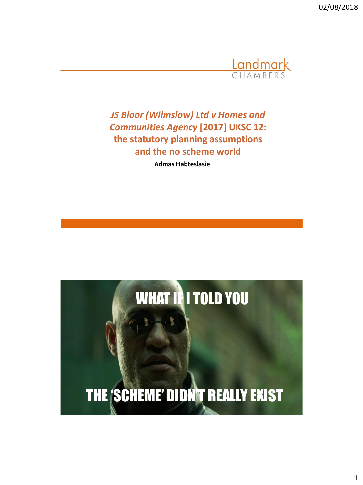02/08/2018



*JS Bloor (Wilmslow) Ltd v Homes and Communities Agency* **[2017] UKSC 12: the statutory planning assumptions and the no scheme world**

**Admas Habteslasie**

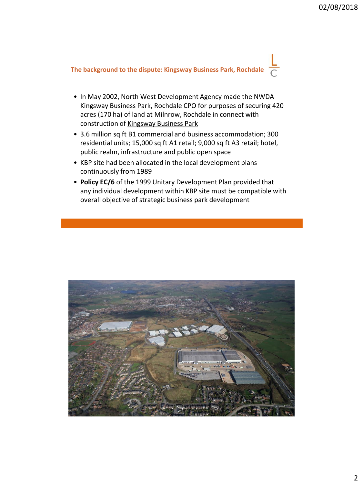

- In May 2002, North West Development Agency made the NWDA Kingsway Business Park, Rochdale CPO for purposes of securing 420 acres (170 ha) of land at Milnrow, Rochdale in connect with construction of Kingsway Business Park
- 3.6 million sq ft B1 commercial and business accommodation; 300 residential units; 15,000 sq ft A1 retail; 9,000 sq ft A3 retail; hotel, public realm, infrastructure and public open space
- KBP site had been allocated in the local development plans continuously from 1989
- **Policy EC/6** of the 1999 Unitary Development Plan provided that any individual development within KBP site must be compatible with overall objective of strategic business park development

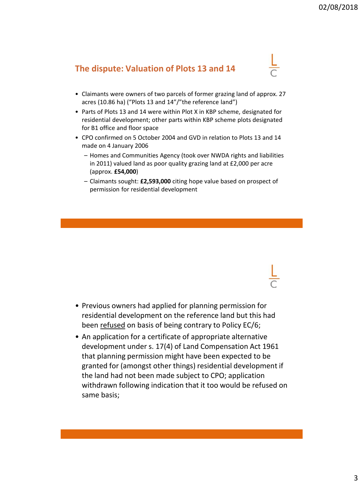# **The dispute: Valuation of Plots 13 and 14**



- Claimants were owners of two parcels of former grazing land of approx. 27 acres (10.86 ha) ("Plots 13 and 14"/"the reference land")
- Parts of Plots 13 and 14 were within Plot X in KBP scheme, designated for residential development; other parts within KBP scheme plots designated for B1 office and floor space
- CPO confirmed on 5 October 2004 and GVD in relation to Plots 13 and 14 made on 4 January 2006
	- Homes and Communities Agency (took over NWDA rights and liabilities in 2011) valued land as poor quality grazing land at £2,000 per acre (approx. **£54,000**)
	- Claimants sought: **£2,593,000** citing hope value based on prospect of permission for residential development

- Previous owners had applied for planning permission for residential development on the reference land but this had been refused on basis of being contrary to Policy EC/6;
- An application for a certificate of appropriate alternative development under s. 17(4) of Land Compensation Act 1961 that planning permission might have been expected to be granted for (amongst other things) residential development if the land had not been made subject to CPO; application withdrawn following indication that it too would be refused on same basis;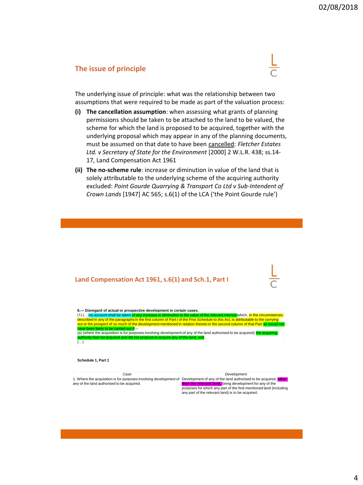## **The issue of principle**



The underlying issue of principle: what was the relationship between two assumptions that were required to be made as part of the valuation process:

- **(i) The cancellation assumption**: when assessing what grants of planning permissions should be taken to be attached to the land to be valued, the scheme for which the land is proposed to be acquired, together with the underlying proposal which may appear in any of the planning documents, must be assumed on that date to have been cancelled: *Fletcher Estates Ltd. v Secretary of State for the Environment* [2000] 2 W.L.R. 438; ss.14- 17, Land Compensation Act 1961
- **(ii) The no-scheme rule**: increase or diminution in value of the land that is solely attributable to the underlying scheme of the acquiring authority excluded: *Point Gourde Quarrying & Transport Co Ltd v Sub-Intendent of Crown Lands* [1947] AC 565; s.6(1) of the LCA ('the Point Gourde rule')



**than the relevant land,** being development for any of the purposes for which any part of the first-mentioned land (including any part of the relevant land) is to be acquired.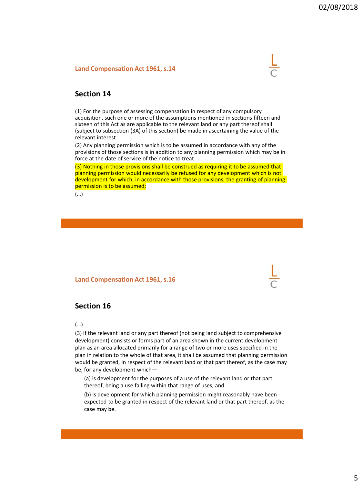#### **Land Compensation Act 1961, s.14**

## **Section 14**

(1) For the purpose of assessing compensation in respect of any compulsory acquisition, such one or more of the assumptions mentioned in sections fifteen and sixteen of this Act as are applicable to the relevant land or any part thereof shall (subject to subsection (3A) of this section) be made in ascertaining the value of the relevant interest.

(2) Any planning permission which is to be assumed in accordance with any of the provisions of those sections is in addition to any planning permission which may be in force at the date of service of the notice to treat.

(3) Nothing in those provisions shall be construed as requiring it to be assumed that planning permission would necessarily be refused for any development which is not development for which, in accordance with those provisions, the granting of planning permission is to be assumed;

(…)

#### **Land Compensation Act 1961, s.16**

## **Section 16**

#### (…)

(3) If the relevant land or any part thereof (not being land subject to comprehensive development) consists or forms part of an area shown in the current development plan as an area allocated primarily for a range of two or more uses specified in the plan in relation to the whole of that area, it shall be assumed that planning permission would be granted, in respect of the relevant land or that part thereof, as the case may be, for any development which—

(a) is development for the purposes of a use of the relevant land or that part thereof, being a use falling within that range of uses, and

(b) is development for which planning permission might reasonably have been expected to be granted in respect of the relevant land or that part thereof, as the case may be.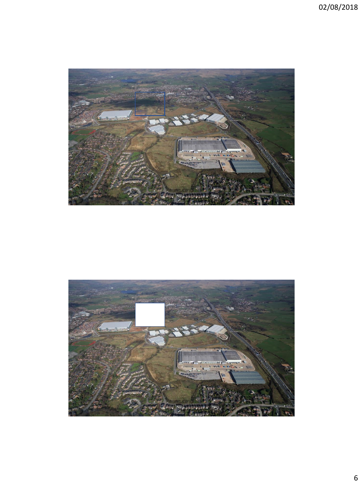

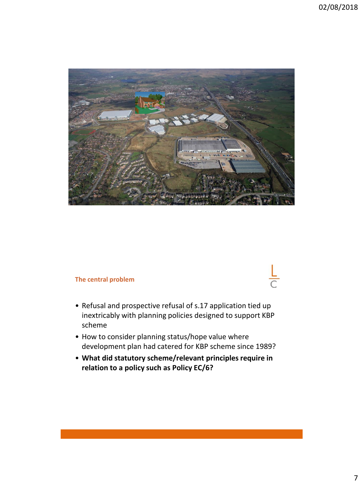

# **The central problem**

- Refusal and prospective refusal of s.17 application tied up inextricably with planning policies designed to support KBP scheme
- How to consider planning status/hope value where development plan had catered for KBP scheme since 1989?
- **What did statutory scheme/relevant principles require in relation to a policy such as Policy EC/6?**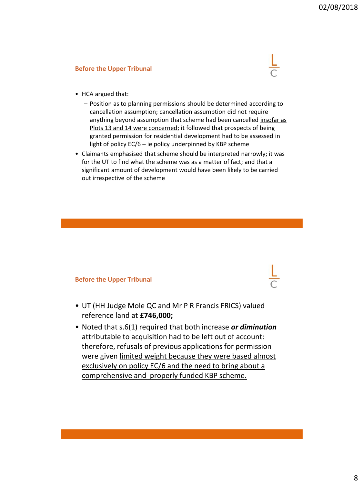#### **Before the Upper Tribunal**



- HCA argued that:
	- Position as to planning permissions should be determined according to cancellation assumption; cancellation assumption did not require anything beyond assumption that scheme had been cancelled insofar as Plots 13 and 14 were concerned; it followed that prospects of being granted permission for residential development had to be assessed in light of policy EC/6 – ie policy underpinned by KBP scheme
- Claimants emphasised that scheme should be interpreted narrowly; it was for the UT to find what the scheme was as a matter of fact; and that a significant amount of development would have been likely to be carried out irrespective of the scheme

#### **Before the Upper Tribunal**

- UT (HH Judge Mole QC and Mr P R Francis FRICS) valued reference land at **£746,000;**
- Noted that s.6(1) required that both increase *or diminution* attributable to acquisition had to be left out of account: therefore, refusals of previous applications for permission were given limited weight because they were based almost exclusively on policy EC/6 and the need to bring about a comprehensive and properly funded KBP scheme.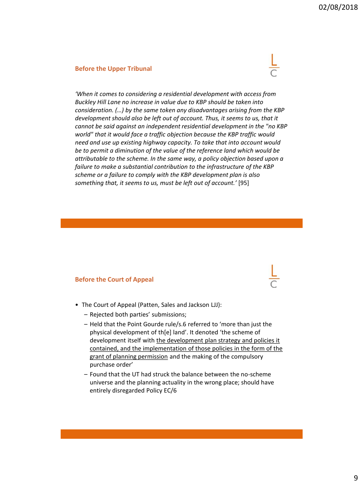#### **Before the Upper Tribunal**



*'When it comes to considering a residential development with access from Buckley Hill Lane no increase in value due to KBP should be taken into consideration. (…) by the same token any disadvantages arising from the KBP*  development should also be left out of account. Thus, it seems to us, that it *cannot be said against an independent residential development in the "no KBP world" that it would face a traffic objection because the KBP traffic would need and use up existing highway capacity. To take that into account would be to permit a diminution of the value of the reference land which would be attributable to the scheme. In the same way, a policy objection based upon a failure to make a substantial contribution to the infrastructure of the KBP scheme or a failure to comply with the KBP development plan is also something that, it seems to us, must be left out of account.'* [95]

#### **Before the Court of Appeal**

- The Court of Appeal (Patten, Sales and Jackson LJJ):
	- Rejected both parties' submissions;
	- Held that the Point Gourde rule/s.6 referred to 'more than just the physical development of th[e] land'. It denoted 'the scheme of development itself with the development plan strategy and policies it contained, and the implementation of those policies in the form of the grant of planning permission and the making of the compulsory purchase order'
	- Found that the UT had struck the balance between the no-scheme universe and the planning actuality in the wrong place; should have entirely disregarded Policy EC/6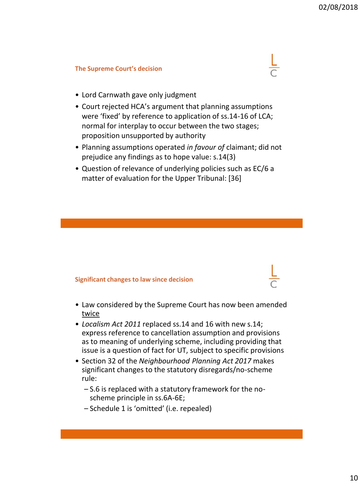### **The Supreme Court's decision**



- Lord Carnwath gave only judgment
- Court rejected HCA's argument that planning assumptions were 'fixed' by reference to application of ss.14-16 of LCA; normal for interplay to occur between the two stages; proposition unsupported by authority
- Planning assumptions operated *in favour of* claimant; did not prejudice any findings as to hope value: s.14(3)
- Question of relevance of underlying policies such as EC/6 a matter of evaluation for the Upper Tribunal: [36]

### **Significant changes to law since decision**

- Law considered by the Supreme Court has now been amended twice
- *Localism Act 2011* replaced ss.14 and 16 with new s.14; express reference to cancellation assumption and provisions as to meaning of underlying scheme, including providing that issue is a question of fact for UT, subject to specific provisions
- Section 32 of the *Neighbourhood Planning Act 2017* makes significant changes to the statutory disregards/no-scheme rule:
	- S.6 is replaced with a statutory framework for the noscheme principle in ss.6A-6E;
	- Schedule 1 is 'omitted' (i.e. repealed)